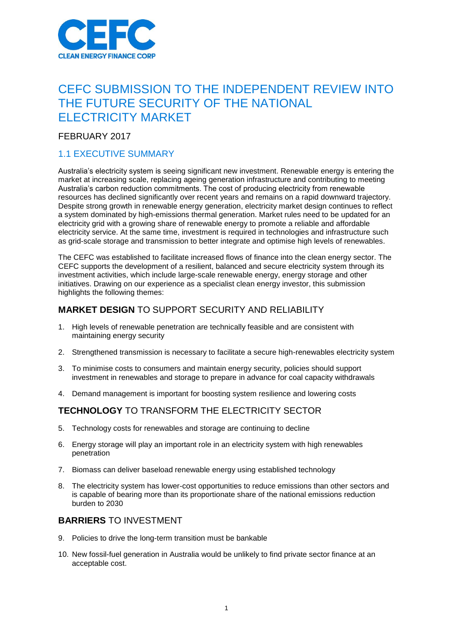

# CEFC SUBMISSION TO THE INDEPENDENT REVIEW INTO THE FUTURE SECURITY OF THE NATIONAL ELECTRICITY MARKET

FEBRUARY 2017

# 1.1 EXECUTIVE SUMMARY

Australia's electricity system is seeing significant new investment. Renewable energy is entering the market at increasing scale, replacing ageing generation infrastructure and contributing to meeting Australia's carbon reduction commitments. The cost of producing electricity from renewable resources has declined significantly over recent years and remains on a rapid downward trajectory. Despite strong growth in renewable energy generation, electricity market design continues to reflect a system dominated by high-emissions thermal generation. Market rules need to be updated for an electricity grid with a growing share of renewable energy to promote a reliable and affordable electricity service. At the same time, investment is required in technologies and infrastructure such as grid-scale storage and transmission to better integrate and optimise high levels of renewables.

The CEFC was established to facilitate increased flows of finance into the clean energy sector. The CEFC supports the development of a resilient, balanced and secure electricity system through its investment activities, which include large-scale renewable energy, energy storage and other initiatives. Drawing on our experience as a specialist clean energy investor, this submission highlights the following themes:

# **MARKET DESIGN** TO SUPPORT SECURITY AND RELIABILITY

- 1. High levels of renewable penetration are technically feasible and are consistent with maintaining energy security
- 2. Strengthened transmission is necessary to facilitate a secure high-renewables electricity system
- 3. To minimise costs to consumers and maintain energy security, policies should support investment in renewables and storage to prepare in advance for coal capacity withdrawals
- 4. Demand management is important for boosting system resilience and lowering costs

# **TECHNOLOGY** TO TRANSFORM THE ELECTRICITY SECTOR

- 5. Technology costs for renewables and storage are continuing to decline
- 6. Energy storage will play an important role in an electricity system with high renewables penetration
- 7. Biomass can deliver baseload renewable energy using established technology
- 8. The electricity system has lower-cost opportunities to reduce emissions than other sectors and is capable of bearing more than its proportionate share of the national emissions reduction burden to 2030

## **BARRIERS** TO INVESTMENT

- 9. Policies to drive the long-term transition must be bankable
- 10. New fossil-fuel generation in Australia would be unlikely to find private sector finance at an acceptable cost.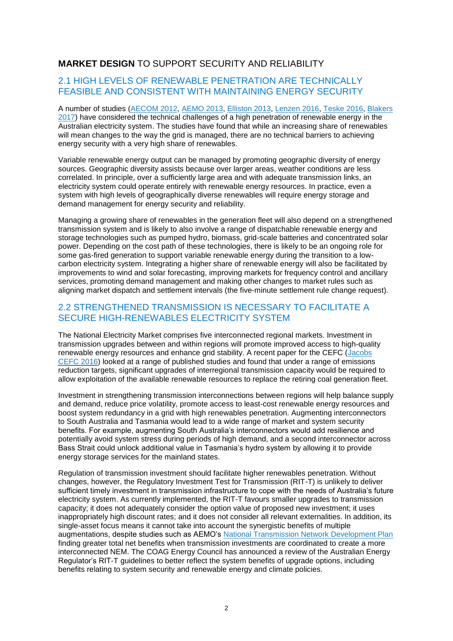## **MARKET DESIGN** TO SUPPORT SECURITY AND RELIABILITY

## 2.1 HIGH LEVELS OF RENEWABLE PENETRATION ARE TECHNICALLY FEASIBLE AND CONSISTENT WITH MAINTAINING ENERGY SECURITY

A number of studies [\(AECOM 2012,](http://jenny.riesz.com.au/wp-content/uploads/2013/06/100-Renewables-will-the-electricity-market-work.pdf) [AEMO 2013,](https://www.environment.gov.au/climate-change/publications/aemo-modelling-outcomes) [Elliston 2013,](http://www.ies.unsw.edu.au/sites/all/files/profile_file_attachments/LeastCostElectricityScenariosInPress2013.pdf) [Lenzen 2016,](http://www.sciencedirect.com/science/article/pii/S0306261916309400) [Teske 2016,](http://www.uts.edu.au/sites/default/files/article/downloads/ISF_100%25_Australian_Renewable_Energy_Report.pdf) [Blakers](http://www.aph.gov.au/DocumentStore.ashx?id=71eb3dce-8829-4eaa-b1e2-2eeab78f7f46&subId=463275)  [2017\)](http://www.aph.gov.au/DocumentStore.ashx?id=71eb3dce-8829-4eaa-b1e2-2eeab78f7f46&subId=463275) have considered the technical challenges of a high penetration of renewable energy in the Australian electricity system. The studies have found that while an increasing share of renewables will mean changes to the way the grid is managed, there are no technical barriers to achieving energy security with a very high share of renewables.

Variable renewable energy output can be managed by promoting geographic diversity of energy sources. Geographic diversity assists because over larger areas, weather conditions are less correlated. In principle, over a sufficiently large area and with adequate transmission links, an electricity system could operate entirely with renewable energy resources. In practice, even a system with high levels of geographically diverse renewables will require energy storage and demand management for energy security and reliability.

Managing a growing share of renewables in the generation fleet will also depend on a strengthened transmission system and is likely to also involve a range of dispatchable renewable energy and storage technologies such as pumped hydro, biomass, grid-scale batteries and concentrated solar power. Depending on the cost path of these technologies, there is likely to be an ongoing role for some gas-fired generation to support variable renewable energy during the transition to a lowcarbon electricity system. Integrating a higher share of renewable energy will also be facilitated by improvements to wind and solar forecasting, improving markets for frequency control and ancillary services, promoting demand management and making other changes to market rules such as aligning market dispatch and settlement intervals (the five-minute settlement rule change request).

## 2.2 STRENGTHENED TRANSMISSION IS NECESSARY TO FACILITATE A SECURE HIGH-RENEWABLES ELECTRICITY SYSTEM

The National Electricity Market comprises five interconnected regional markets. Investment in transmission upgrades between and within regions will promote improved access to high-quality renewable energy resources and enhance grid stability. A recent paper for the CEFC [\(Jacobs](http://www.cleanenergyfinancecorp.com.au/media/222968/benefits-of-transmission-upgrades-in-a-transforming-electricity-sector.pdf) [CEFC](http://www.cleanenergyfinancecorp.com.au/media/222968/benefits-of-transmission-upgrades-in-a-transforming-electricity-sector.pdf) 2016) looked at a range of published studies and found that under a range of emissions reduction targets, significant upgrades of interregional transmission capacity would be required to allow exploitation of the available renewable resources to replace the retiring coal generation fleet.

Investment in strengthening transmission interconnections between regions will help balance supply and demand, reduce price volatility, promote access to least-cost renewable energy resources and boost system redundancy in a grid with high renewables penetration. Augmenting interconnectors to South Australia and Tasmania would lead to a wide range of market and system security benefits. For example, augmenting South Australia's interconnectors would add resilience and potentially avoid system stress during periods of high demand, and a second interconnector across Bass Strait could unlock additional value in Tasmania's hydro system by allowing it to provide energy storage services for the mainland states.

Regulation of transmission investment should facilitate higher renewables penetration. Without changes, however, the Regulatory Investment Test for Transmission (RIT-T) is unlikely to deliver sufficient timely investment in transmission infrastructure to cope with the needs of Australia's future electricity system. As currently implemented, the RIT-T favours smaller upgrades to transmission capacity; it does not adequately consider the option value of proposed new investment; it uses inappropriately high discount rates; and it does not consider all relevant externalities. In addition, its single-asset focus means it cannot take into account the synergistic benefits of multiple augmentations, despite studies such as AEMO's [National Transmission Network Development Plan](https://www.aemo.com.au/-/media/Files/Electricity/NEM/Planning_and_Forecasting/NTNDP/2016/Dec/2016-NATIONAL-TRANSMISSION-NETWORK-DEVELOPMENT-PLAN.pdf) finding greater total net benefits when transmission investments are coordinated to create a more interconnected NEM. The COAG Energy Council has announced a review of the Australian Energy Regulator's RIT-T guidelines to better reflect the system benefits of upgrade options, including benefits relating to system security and renewable energy and climate policies.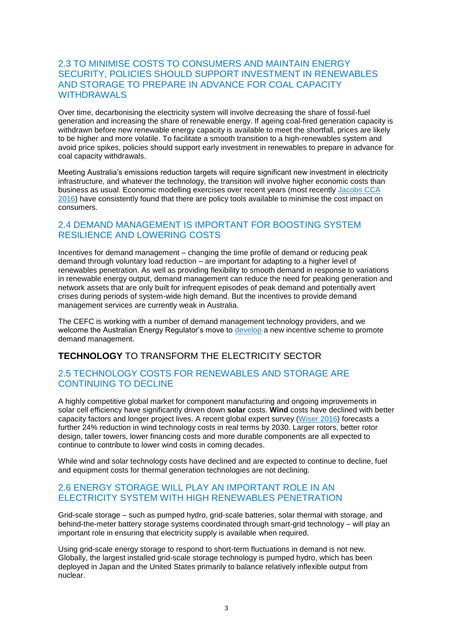## 2.3 TO MINIMISE COSTS TO CONSUMERS AND MAINTAIN ENERGY SECURITY, POLICIES SHOULD SUPPORT INVESTMENT IN RENEWABLES AND STORAGE TO PREPARE IN ADVANCE FOR COAL CAPACITY WITHDRAWALS

Over time, decarbonising the electricity system will involve decreasing the share of fossil-fuel generation and increasing the share of renewable energy. If ageing coal-fired generation capacity is withdrawn before new renewable energy capacity is available to meet the shortfall, prices are likely to be higher and more volatile. To facilitate a smooth transition to a high-renewables system and avoid price spikes, policies should support early investment in renewables to prepare in advance for coal capacity withdrawals.

Meeting Australia's emissions reduction targets will require significant new investment in electricity infrastructure, and whatever the technology, the transition will involve higher economic costs than business as usual. Economic modelling exercises over recent years (most recently [Jacobs](http://www.climatechangeauthority.gov.au/reviews/special-review/modelling-illustrative-electricity-sector-policies) CCA [2016\)](http://www.climatechangeauthority.gov.au/reviews/special-review/modelling-illustrative-electricity-sector-policies) have consistently found that there are policy tools available to minimise the cost impact on consumers.

## 2.4 DEMAND MANAGEMENT IS IMPORTANT FOR BOOSTING SYSTEM RESILIENCE AND LOWERING COSTS

Incentives for demand management – changing the time profile of demand or reducing peak demand through voluntary load reduction – are important for adapting to a higher level of renewables penetration. As well as providing flexibility to smooth demand in response to variations in renewable energy output, demand management can reduce the need for peaking generation and network assets that are only built for infrequent episodes of peak demand and potentially avert crises during periods of system-wide high demand. But the incentives to provide demand management services are currently weak in Australia.

The CEFC is working with a number of demand management technology providers, and we welcome the Australian Energy Regulator's move to [develop](https://www.aer.gov.au/networks-pipelines/guidelines-schemes-models-reviews/demand-management-incentive-scheme-and-innovation-allowance-mechanism) a new incentive scheme to promote demand management.

## **TECHNOLOGY** TO TRANSFORM THE ELECTRICITY SECTOR

#### 2.5 TECHNOLOGY COSTS FOR RENEWABLES AND STORAGE ARE CONTINUING TO DECLINE

A highly competitive global market for component manufacturing and ongoing improvements in solar cell efficiency have significantly driven down **solar** costs. **Wind** costs have declined with better capacity factors and longer project lives. A recent global expert survey [\(Wiser 2016\)](https://emp.lbl.gov/publications/forecasting-wind-energy-costs-and-cos) forecasts a further 24% reduction in wind technology costs in real terms by 2030. Larger rotors, better rotor design, taller towers, lower financing costs and more durable components are all expected to continue to contribute to lower wind costs in coming decades.

While wind and solar technology costs have declined and are expected to continue to decline, fuel and equipment costs for thermal generation technologies are not declining.

### 2.6 ENERGY STORAGE WILL PLAY AN IMPORTANT ROLE IN AN ELECTRICITY SYSTEM WITH HIGH RENEWABLES PENETRATION

Grid-scale storage – such as pumped hydro, grid-scale batteries, solar thermal with storage, and behind-the-meter battery storage systems coordinated through smart-grid technology – will play an important role in ensuring that electricity supply is available when required.

Using grid-scale energy storage to respond to short-term fluctuations in demand is not new. Globally, the largest installed grid-scale storage technology is pumped hydro, which has been deployed in Japan and the United States primarily to balance relatively inflexible output from nuclear.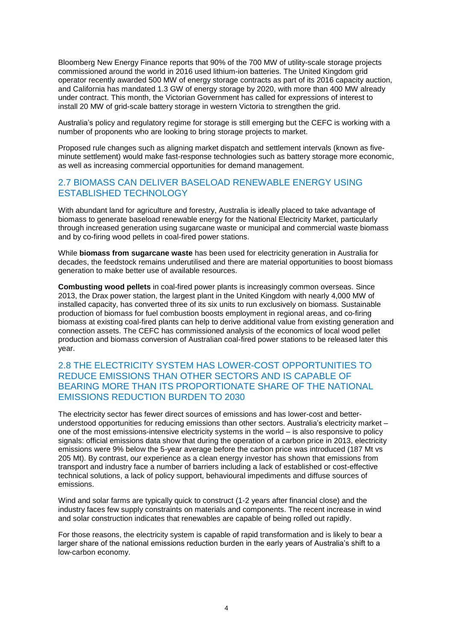Bloomberg New Energy Finance reports that 90% of the 700 MW of utility-scale storage projects commissioned around the world in 2016 used lithium-ion batteries. The United Kingdom grid operator recently awarded 500 MW of energy storage contracts as part of its 2016 capacity auction, and California has mandated 1.3 GW of energy storage by 2020, with more than 400 MW already under contract. This month, the Victorian Government has called for expressions of interest to install 20 MW of grid-scale battery storage in western Victoria to strengthen the grid.

Australia's policy and regulatory regime for storage is still emerging but the CEFC is working with a number of proponents who are looking to bring storage projects to market.

Proposed rule changes such as aligning market dispatch and settlement intervals (known as fiveminute settlement) would make fast-response technologies such as battery storage more economic, as well as increasing commercial opportunities for demand management.

#### 2.7 BIOMASS CAN DELIVER BASELOAD RENEWABLE ENERGY USING ESTABLISHED TECHNOLOGY

With abundant land for agriculture and forestry, Australia is ideally placed to take advantage of biomass to generate baseload renewable energy for the National Electricity Market, particularly through increased generation using sugarcane waste or municipal and commercial waste biomass and by co-firing wood pellets in coal-fired power stations.

While **biomass from sugarcane waste** has been used for electricity generation in Australia for decades, the feedstock remains underutilised and there are material opportunities to boost biomass generation to make better use of available resources.

**Combusting wood pellets** in coal-fired power plants is increasingly common overseas. Since 2013, the Drax power station, the largest plant in the United Kingdom with nearly 4,000 MW of installed capacity, has converted three of its six units to run exclusively on biomass. Sustainable production of biomass for fuel combustion boosts employment in regional areas, and co-firing biomass at existing coal-fired plants can help to derive additional value from existing generation and connection assets. The CEFC has commissioned analysis of the economics of local wood pellet production and biomass conversion of Australian coal-fired power stations to be released later this year.

#### 2.8 THE ELECTRICITY SYSTEM HAS LOWER-COST OPPORTUNITIES TO REDUCE EMISSIONS THAN OTHER SECTORS AND IS CAPABLE OF BEARING MORE THAN ITS PROPORTIONATE SHARE OF THE NATIONAL EMISSIONS REDUCTION BURDEN TO 2030

The electricity sector has fewer direct sources of emissions and has lower-cost and betterunderstood opportunities for reducing emissions than other sectors. Australia's electricity market – one of the most emissions-intensive electricity systems in the world – is also responsive to policy signals: official emissions data show that during the operation of a carbon price in 2013, electricity emissions were 9% below the 5-year average before the carbon price was introduced (187 Mt vs 205 Mt). By contrast, our experience as a clean energy investor has shown that emissions from transport and industry face a number of barriers including a lack of established or cost-effective technical solutions, a lack of policy support, behavioural impediments and diffuse sources of emissions.

Wind and solar farms are typically quick to construct (1-2 years after financial close) and the industry faces few supply constraints on materials and components. The recent increase in wind and solar construction indicates that renewables are capable of being rolled out rapidly.

For those reasons, the electricity system is capable of rapid transformation and is likely to bear a larger share of the national emissions reduction burden in the early years of Australia's shift to a low-carbon economy.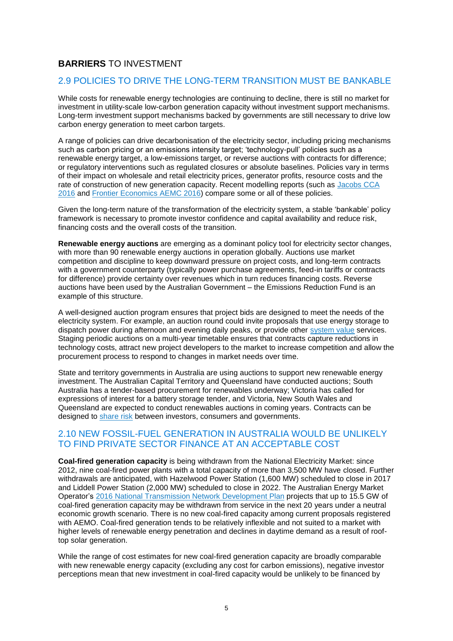# **BARRIERS** TO INVESTMENT

#### 2.9 POLICIES TO DRIVE THE LONG-TERM TRANSITION MUST BE BANKABLE

While costs for renewable energy technologies are continuing to decline, there is still no market for investment in utility-scale low-carbon generation capacity without investment support mechanisms. Long-term investment support mechanisms backed by governments are still necessary to drive low carbon energy generation to meet carbon targets.

A range of policies can drive decarbonisation of the electricity sector, including pricing mechanisms such as carbon pricing or an emissions intensity target; 'technology-pull' policies such as a renewable energy target, a low-emissions target, or reverse auctions with contracts for difference; or regulatory interventions such as regulated closures or absolute baselines. Policies vary in terms of their impact on wholesale and retail electricity prices, generator profits, resource costs and the rate of construction of new generation capacity. Recent modelling reports (such as [Jacobs CCA](http://www.climatechangeauthority.gov.au/sites/prod.climatechangeauthority.gov.au/files/files/SR%20Modelling%20reports/Jacobs%20modelling%20report%20-%20electricity.pdf)  [2016](http://www.climatechangeauthority.gov.au/sites/prod.climatechangeauthority.gov.au/files/files/SR%20Modelling%20reports/Jacobs%20modelling%20report%20-%20electricity.pdf) and [Frontier Economics AEMC 2016\)](http://aemc.gov.au/Markets-Reviews-Advice/Integration-of-energy-and-emissions-reduction-poli/Final/AEMC-documents/Frontier-Economics-Report.aspx) compare some or all of these policies.

Given the long-term nature of the transformation of the electricity system, a stable 'bankable' policy framework is necessary to promote investor confidence and capital availability and reduce risk, financing costs and the overall costs of the transition.

**Renewable energy auctions** are emerging as a dominant policy tool for electricity sector changes, with more than 90 renewable energy auctions in operation globally. Auctions use market competition and discipline to keep downward pressure on project costs, and long-term contracts with a government counterparty (typically power purchase agreements, feed-in tariffs or contracts for difference) provide certainty over revenues which in turn reduces financing costs. Reverse auctions have been used by the Australian Government – the Emissions Reduction Fund is an example of this structure.

A well-designed auction program ensures that project bids are designed to meet the needs of the electricity system. For example, an auction round could invite proposals that use energy storage to dispatch power during afternoon and evening daily peaks, or provide other [system value](http://www.iea.org/publications/freepublications/publication/Next_Generation_Windand_Solar_PowerFrom_Cost_to_ValueFull_Report.pdf) services. Staging periodic auctions on a multi-year timetable ensures that contracts capture reductions in technology costs, attract new project developers to the market to increase competition and allow the procurement process to respond to changes in market needs over time.

State and territory governments in Australia are using auctions to support new renewable energy investment. The Australian Capital Territory and Queensland have conducted auctions; South Australia has a tender-based procurement for renewables underway; Victoria has called for expressions of interest for a battery storage tender, and Victoria, New South Wales and Queensland are expected to conduct renewables auctions in coming years. Contracts can be designed to [share risk](https://www.iea.org/publications/freepublications/publication/REPOWERINGMARKETS.pdf) between investors, consumers and governments.

#### 2.10 NEW FOSSIL-FUEL GENERATION IN AUSTRALIA WOULD BE UNLIKELY TO FIND PRIVATE SECTOR FINANCE AT AN ACCEPTABLE COST

**Coal-fired generation capacity** is being withdrawn from the National Electricity Market: since 2012, nine coal-fired power plants with a total capacity of more than 3,500 MW have closed. Further withdrawals are anticipated, with Hazelwood Power Station (1,600 MW) scheduled to close in 2017 and Liddell Power Station (2,000 MW) scheduled to close in 2022. The Australian Energy Market Operator's [2016 National Transmission Network Development Plan](http://www.aemo.com.au/-/media/Files/Electricity/NEM/Planning_and_Forecasting/NTNDP/2016/Dec/2016-NATIONAL-TRANSMISSION-NETWORK-DEVELOPMENT-PLAN.pdf) projects that up to 15.5 GW of coal-fired generation capacity may be withdrawn from service in the next 20 years under a neutral economic growth scenario. There is no new coal-fired capacity among current proposals registered with AEMO. Coal-fired generation tends to be relatively inflexible and not suited to a market with higher levels of renewable energy penetration and declines in daytime demand as a result of rooftop solar generation.

While the range of cost estimates for new coal-fired generation capacity are broadly comparable with new renewable energy capacity (excluding any cost for carbon emissions), negative investor perceptions mean that new investment in coal-fired capacity would be unlikely to be financed by